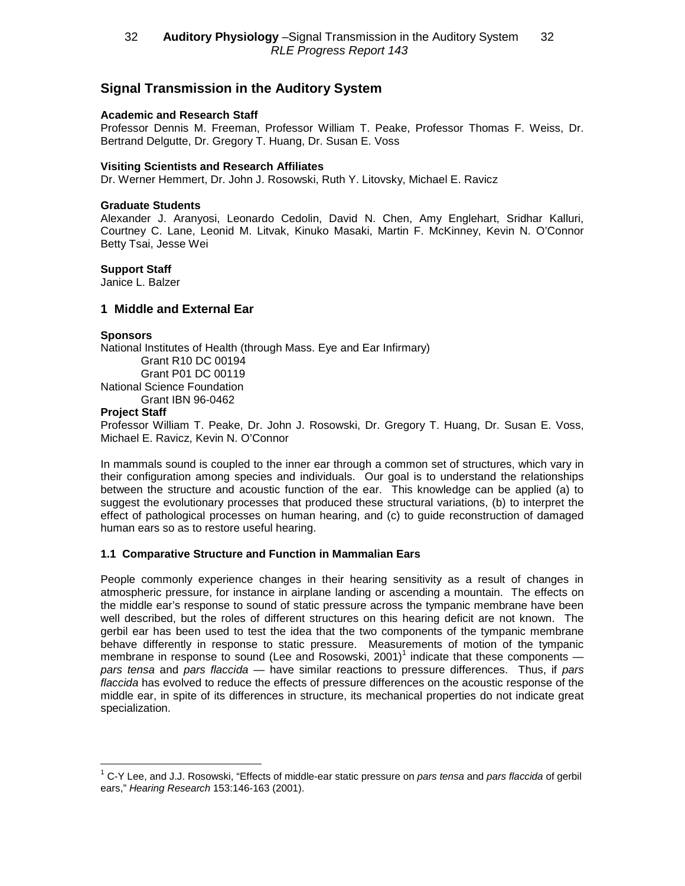# **Signal Transmission in the Auditory System**

#### **Academic and Research Staff**

Professor Dennis M. Freeman, Professor William T. Peake, Professor Thomas F. Weiss, Dr. Bertrand Delgutte, Dr. Gregory T. Huang, Dr. Susan E. Voss

#### **Visiting Scientists and Research Affiliates**

Dr. Werner Hemmert, Dr. John J. Rosowski, Ruth Y. Litovsky, Michael E. Ravicz

#### **Graduate Students**

Alexander J. Aranyosi, Leonardo Cedolin, David N. Chen, Amy Englehart, Sridhar Kalluri, Courtney C. Lane, Leonid M. Litvak, Kinuko Masaki, Martin F. McKinney, Kevin N. O'Connor Betty Tsai, Jesse Wei

### **Support Staff**

Janice L. Balzer

## **1 Middle and External Ear**

#### **Sponsors**

National Institutes of Health (through Mass. Eye and Ear Infirmary) Grant R10 DC 00194 Grant P01 DC 00119 National Science Foundation Grant IBN 96-0462

#### **Project Staff**

 $\overline{a}$ 

Professor William T. Peake, Dr. John J. Rosowski, Dr. Gregory T. Huang, Dr. Susan E. Voss, Michael E. Ravicz, Kevin N. O'Connor

In mammals sound is coupled to the inner ear through a common set of structures, which vary in their configuration among species and individuals. Our goal is to understand the relationships between the structure and acoustic function of the ear. This knowledge can be applied (a) to suggest the evolutionary processes that produced these structural variations, (b) to interpret the effect of pathological processes on human hearing, and (c) to guide reconstruction of damaged human ears so as to restore useful hearing.

### **1.1 Comparative Structure and Function in Mammalian Ears**

People commonly experience changes in their hearing sensitivity as a result of changes in atmospheric pressure, for instance in airplane landing or ascending a mountain. The effects on the middle ear's response to sound of static pressure across the tympanic membrane have been well described, but the roles of different structures on this hearing deficit are not known. The gerbil ear has been used to test the idea that the two components of the tympanic membrane behave differently in response to static pressure. Measurements of motion of the tympanic membrane in response to sound (Lee and Rosowski, 2001)<sup>1</sup> indicate that these components  $$ *pars tensa* and *pars flaccida* — have similar reactions to pressure differences. Thus, if *pars flaccida* has evolved to reduce the effects of pressure differences on the acoustic response of the middle ear, in spite of its differences in structure, its mechanical properties do not indicate great specialization.

<sup>1</sup> C-Y Lee, and J.J. Rosowski, "Effects of middle-ear static pressure on *pars tensa* and *pars flaccida* of gerbil ears," *Hearing Research* 153:146-163 (2001).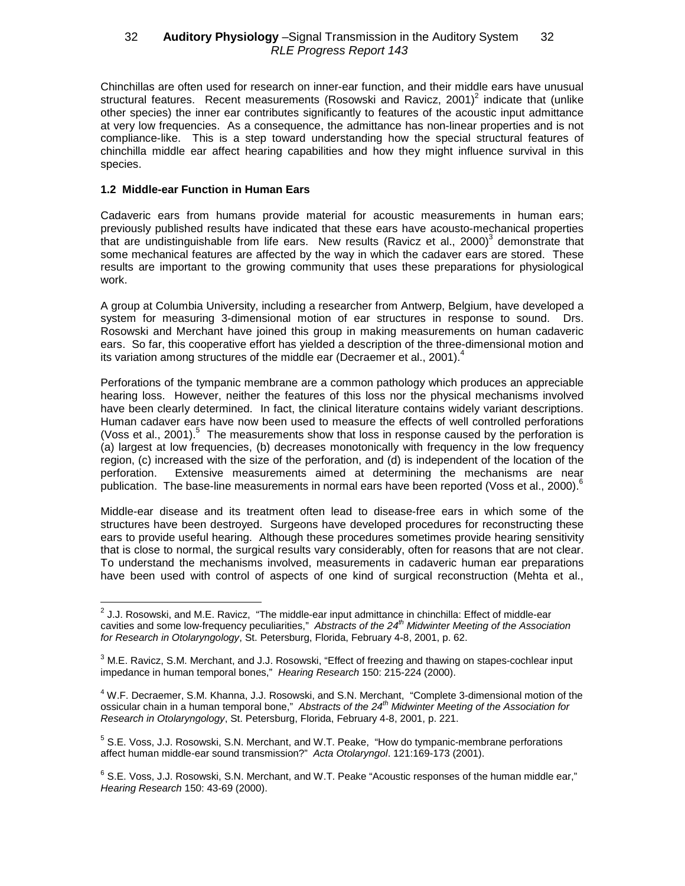## 32 **— Auditory Physiology** – Signal Transmission in the Auditory System — 32 RLE Progress Report 143

Chinchillas are often used for research on inner-ear function, and their middle ears have unusual structural features. Recent measurements (Rosowski and Ravicz, 2001)<sup>2</sup> indicate that (unlike other species) the inner ear contributes significantly to features of the acoustic input admittance at very low frequencies. As a consequence, the admittance has non-linear properties and is not compliance-like. This is a step toward understanding how the special structural features of chinchilla middle ear affect hearing capabilities and how they might influence survival in this species.

### **1.2 Middle-ear Function in Human Ears**

 $\overline{a}$ 

Cadaveric ears from humans provide material for acoustic measurements in human ears; previously published results have indicated that these ears have acousto-mechanical properties that are undistinguishable from life ears. New results (Ravicz et al., 2000)<sup>3</sup> demonstrate that some mechanical features are affected by the way in which the cadaver ears are stored. These results are important to the growing community that uses these preparations for physiological work.

A group at Columbia University, including a researcher from Antwerp, Belgium, have developed a system for measuring 3-dimensional motion of ear structures in response to sound. Drs. Rosowski and Merchant have joined this group in making measurements on human cadaveric ears. So far, this cooperative effort has yielded a description of the three-dimensional motion and its variation among structures of the middle ear (Decraemer et al., 2001).<sup>4</sup>

Perforations of the tympanic membrane are a common pathology which produces an appreciable hearing loss. However, neither the features of this loss nor the physical mechanisms involved have been clearly determined. In fact, the clinical literature contains widely variant descriptions. Human cadaver ears have now been used to measure the effects of well controlled perforations (Voss et al., 2001).<sup>5</sup> The measurements show that loss in response caused by the perforation is (a) largest at low frequencies, (b) decreases monotonically with frequency in the low frequency region, (c) increased with the size of the perforation, and (d) is independent of the location of the perforation. Extensive measurements aimed at determining the mechanisms are near publication. The base-line measurements in normal ears have been reported (Voss et al., 2000).<sup>6</sup>

Middle-ear disease and its treatment often lead to disease-free ears in which some of the structures have been destroyed. Surgeons have developed procedures for reconstructing these ears to provide useful hearing. Although these procedures sometimes provide hearing sensitivity that is close to normal, the surgical results vary considerably, often for reasons that are not clear. To understand the mechanisms involved, measurements in cadaveric human ear preparations have been used with control of aspects of one kind of surgical reconstruction (Mehta et al.,

 $^{2}$  J.J. Rosowski, and M.E. Ravicz, "The middle-ear input admittance in chinchilla: Effect of middle-ear cavities and some low-frequency peculiarities," *Abstracts of the 24th Midwinter Meeting of the Association for Research in Otolaryngology*, St. Petersburg, Florida, February 4-8, 2001, p. 62.

 $3$  M.E. Ravicz, S.M. Merchant, and J.J. Rosowski, "Effect of freezing and thawing on stapes-cochlear input impedance in human temporal bones," *Hearing Research* 150: 215-224 (2000).

<sup>&</sup>lt;sup>4</sup> W.F. Decraemer, S.M. Khanna, J.J. Rosowski, and S.N. Merchant, "Complete 3-dimensional motion of the ossicular chain in a human temporal bone," *Abstracts of the 24th Midwinter Meeting of the Association for Research in Otolaryngology*, St. Petersburg, Florida, February 4-8, 2001, p. 221.

<sup>&</sup>lt;sup>5</sup> S.E. Voss, J.J. Rosowski, S.N. Merchant, and W.T. Peake, "How do tympanic-membrane perforations affect human middle-ear sound transmission?" *Acta Otolaryngol*. 121:169-173 (2001).

 $^6$  S.E. Voss, J.J. Rosowski, S.N. Merchant, and W.T. Peake "Acoustic responses of the human middle ear," *Hearing Research* 150: 43-69 (2000).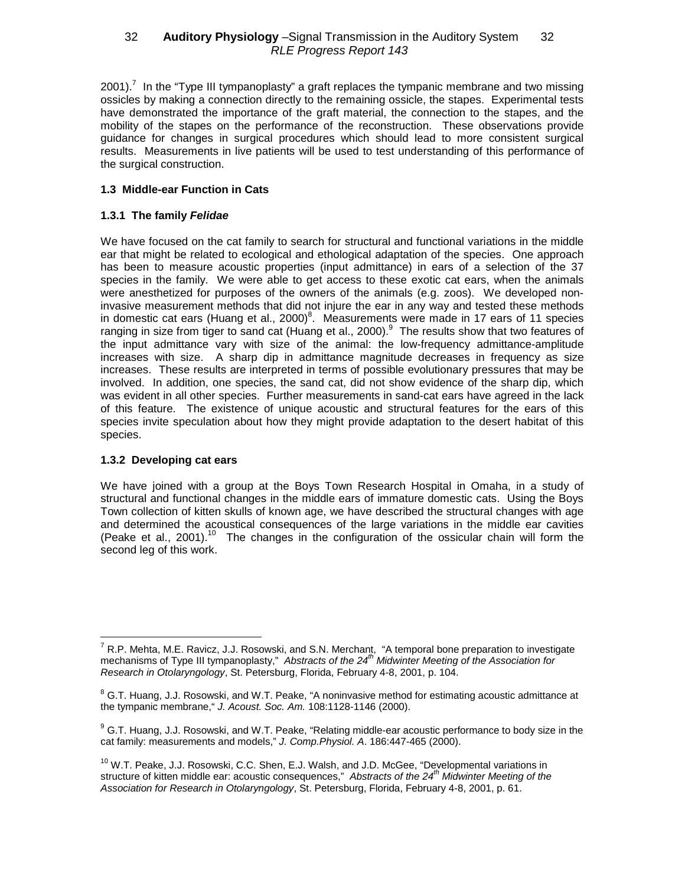## 32  **Auditory Physiology** –Signal Transmission in the Auditory System — 32 RLE Progress Report 143

2001).<sup>7</sup> In the "Type III tympanoplasty" a graft replaces the tympanic membrane and two missing ossicles by making a connection directly to the remaining ossicle, the stapes. Experimental tests have demonstrated the importance of the graft material, the connection to the stapes, and the mobility of the stapes on the performance of the reconstruction. These observations provide guidance for changes in surgical procedures which should lead to more consistent surgical results. Measurements in live patients will be used to test understanding of this performance of the surgical construction.

# **1.3 Middle-ear Function in Cats**

# **1.3.1 The family** *Felidae*

We have focused on the cat family to search for structural and functional variations in the middle ear that might be related to ecological and ethological adaptation of the species. One approach has been to measure acoustic properties (input admittance) in ears of a selection of the 37 species in the family. We were able to get access to these exotic cat ears, when the animals were anesthetized for purposes of the owners of the animals (e.g. zoos). We developed noninvasive measurement methods that did not injure the ear in any way and tested these methods in domestic cat ears (Huang et al., 2000)<sup>8</sup>. Measurements were made in 17 ears of 11 species ranging in size from tiger to sand cat (Huang et al., 2000).<sup>9</sup> The results show that two features of the input admittance vary with size of the animal: the low-frequency admittance-amplitude increases with size. A sharp dip in admittance magnitude decreases in frequency as size increases. These results are interpreted in terms of possible evolutionary pressures that may be involved. In addition, one species, the sand cat, did not show evidence of the sharp dip, which was evident in all other species. Further measurements in sand-cat ears have agreed in the lack of this feature. The existence of unique acoustic and structural features for the ears of this species invite speculation about how they might provide adaptation to the desert habitat of this species.

# **1.3.2 Developing cat ears**

We have joined with a group at the Boys Town Research Hospital in Omaha, in a study of structural and functional changes in the middle ears of immature domestic cats. Using the Boys Town collection of kitten skulls of known age, we have described the structural changes with age and determined the acoustical consequences of the large variations in the middle ear cavities (Peake et al., 2001).<sup>10</sup> The changes in the configuration of the ossicular chain will form the second leg of this work.

 $\overline{a}$  $^7$  R.P. Mehta, M.E. Ravicz, J.J. Rosowski, and S.N. Merchant, "A temporal bone preparation to investigate mechanisms of Type III tympanoplasty," *Abstracts of the 24th Midwinter Meeting of the Association for Research in Otolaryngology*, St. Petersburg, Florida, February 4-8, 2001, p. 104.

 $^8$  G.T. Huang, J.J. Rosowski, and W.T. Peake, "A noninvasive method for estimating acoustic admittance at the tympanic membrane," *J. Acoust. Soc. Am.* 108:1128-1146 (2000).

 $^9$  G.T. Huang, J.J. Rosowski, and W.T. Peake, "Relating middle-ear acoustic performance to body size in the cat family: measurements and models," *J. Comp.Physiol. A*. 186:447-465 (2000).

<sup>&</sup>lt;sup>10</sup> W.T. Peake, J.J. Rosowski, C.C. Shen, E.J. Walsh, and J.D. McGee, "Developmental variations in structure of kitten middle ear: acoustic consequences," *Abstracts of the 24th Midwinter Meeting of the Association for Research in Otolaryngology*, St. Petersburg, Florida, February 4-8, 2001, p. 61.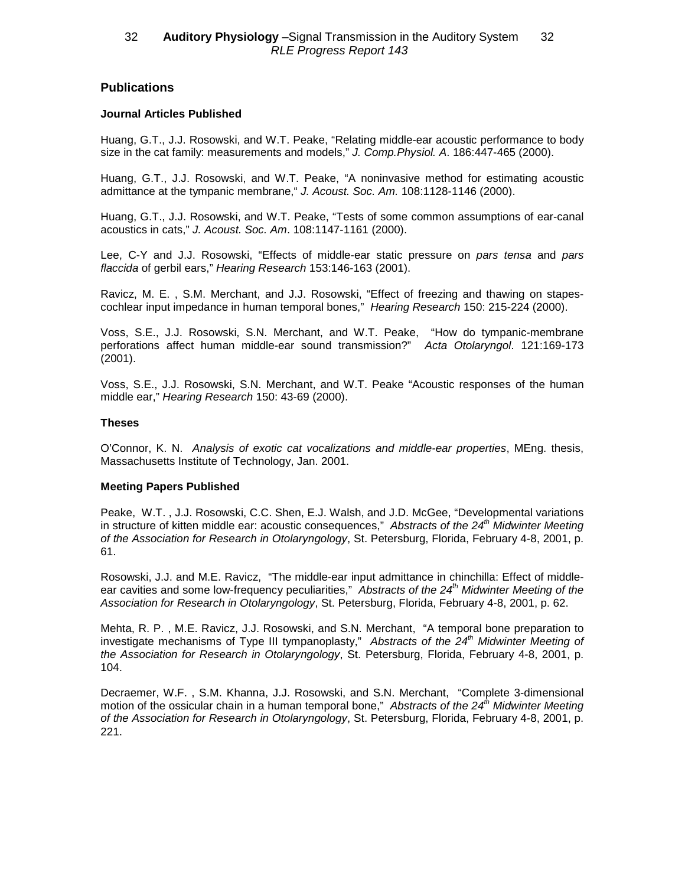# **Publications**

### **Journal Articles Published**

Huang, G.T., J.J. Rosowski, and W.T. Peake, "Relating middle-ear acoustic performance to body size in the cat family: measurements and models," *J. Comp.Physiol. A*. 186:447-465 (2000).

Huang, G.T., J.J. Rosowski, and W.T. Peake, "A noninvasive method for estimating acoustic admittance at the tympanic membrane," *J. Acoust. Soc. Am.* 108:1128-1146 (2000).

Huang, G.T., J.J. Rosowski, and W.T. Peake, "Tests of some common assumptions of ear-canal acoustics in cats," *J. Acoust. Soc. Am*. 108:1147-1161 (2000).

Lee, C-Y and J.J. Rosowski, "Effects of middle-ear static pressure on *pars tensa* and *pars flaccida* of gerbil ears," *Hearing Research* 153:146-163 (2001).

Ravicz, M. E. , S.M. Merchant, and J.J. Rosowski, "Effect of freezing and thawing on stapescochlear input impedance in human temporal bones," *Hearing Research* 150: 215-224 (2000).

Voss, S.E., J.J. Rosowski, S.N. Merchant, and W.T. Peake, "How do tympanic-membrane perforations affect human middle-ear sound transmission?" *Acta Otolaryngol*. 121:169-173 (2001).

Voss, S.E., J.J. Rosowski, S.N. Merchant, and W.T. Peake "Acoustic responses of the human middle ear," *Hearing Research* 150: 43-69 (2000).

### **Theses**

O'Connor, K. N. *Analysis of exotic cat vocalizations and middle-ear properties*, MEng. thesis, Massachusetts Institute of Technology, Jan. 2001.

### **Meeting Papers Published**

Peake, W.T. , J.J. Rosowski, C.C. Shen, E.J. Walsh, and J.D. McGee, "Developmental variations in structure of kitten middle ear: acoustic consequences," *Abstracts of the 24th Midwinter Meeting of the Association for Research in Otolaryngology*, St. Petersburg, Florida, February 4-8, 2001, p. 61.

Rosowski, J.J. and M.E. Ravicz, "The middle-ear input admittance in chinchilla: Effect of middleear cavities and some low-frequency peculiarities," Abstracts of the 24<sup>th</sup> Midwinter Meeting of the *Association for Research in Otolaryngology*, St. Petersburg, Florida, February 4-8, 2001, p. 62.

Mehta, R. P. , M.E. Ravicz, J.J. Rosowski, and S.N. Merchant, "A temporal bone preparation to investigate mechanisms of Type III tympanoplasty," Abstracts of the 24<sup>th</sup> Midwinter Meeting of *the Association for Research in Otolaryngology*, St. Petersburg, Florida, February 4-8, 2001, p. 104.

Decraemer, W.F. , S.M. Khanna, J.J. Rosowski, and S.N. Merchant, "Complete 3-dimensional motion of the ossicular chain in a human temporal bone," *Abstracts of the 24<sup>th</sup> Midwinter Meeting of the Association for Research in Otolaryngology*, St. Petersburg, Florida, February 4-8, 2001, p. 221.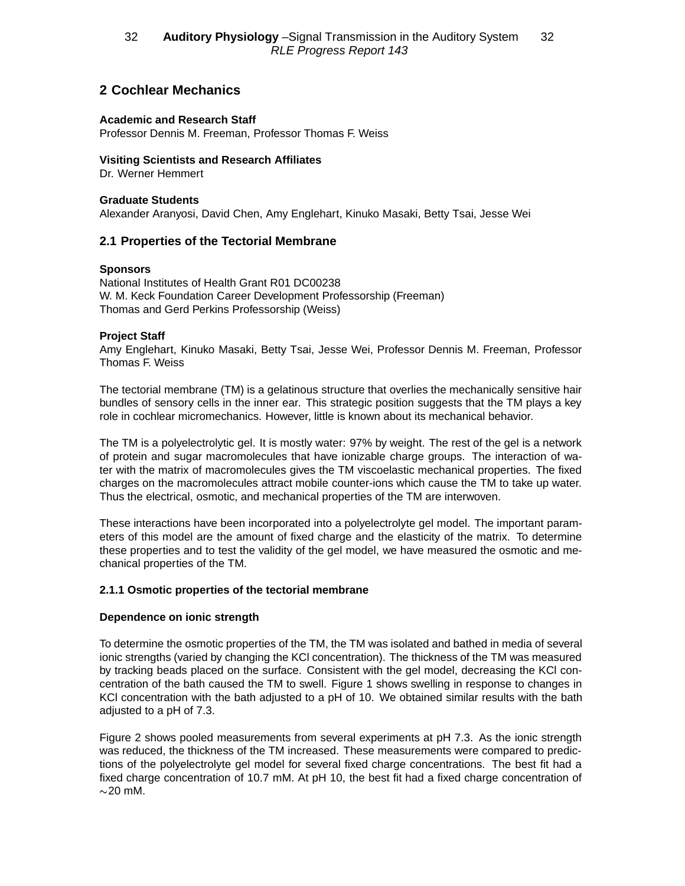# **2 Cochlear Mechanics**

### **Academic and Research Staff**

Professor Dennis M. Freeman, Professor Thomas F. Weiss

### **Visiting Scientists and Research Affiliates**

Dr. Werner Hemmert

### **Graduate Students**

Alexander Aranyosi, David Chen, Amy Englehart, Kinuko Masaki, Betty Tsai, Jesse Wei

# **2.1 Properties of the Tectorial Membrane**

### **Sponsors**

National Institutes of Health Grant R01 DC00238 W. M. Keck Foundation Career Development Professorship (Freeman) Thomas and Gerd Perkins Professorship (Weiss)

### **Project Staff**

Amy Englehart, Kinuko Masaki, Betty Tsai, Jesse Wei, Professor Dennis M. Freeman, Professor Thomas F. Weiss

The tectorial membrane (TM) is a gelatinous structure that overlies the mechanically sensitive hair bundles of sensory cells in the inner ear. This strategic position suggests that the TM plays a key role in cochlear micromechanics. However, little is known about its mechanical behavior.

The TM is a polyelectrolytic gel. It is mostly water: 97% by weight. The rest of the gel is a network of protein and sugar macromolecules that have ionizable charge groups. The interaction of water with the matrix of macromolecules gives the TM viscoelastic mechanical properties. The fixed charges on the macromolecules attract mobile counter-ions which cause the TM to take up water. Thus the electrical, osmotic, and mechanical properties of the TM are interwoven.

These interactions have been incorporated into a polyelectrolyte gel model. The important parameters of this model are the amount of fixed charge and the elasticity of the matrix. To determine these properties and to test the validity of the gel model, we have measured the osmotic and mechanical properties of the TM.

# **2.1.1 Osmotic properties of the tectorial membrane**

### **Dependence on ionic strength**

To determine the osmotic properties of the TM, the TM was isolated and bathed in media of several ionic strengths (varied by changing the KCl concentration). The thickness of the TM was measured by tracking beads placed on the surface. Consistent with the gel model, decreasing the KCl concentration of the bath caused the TM to swell. Figure 1 shows swelling in response to changes in KCl concentration with the bath adjusted to a pH of 10. We obtained similar results with the bath adjusted to a pH of 7.3.

Figure 2 shows pooled measurements from several experiments at pH 7.3. As the ionic strength was reduced, the thickness of the TM increased. These measurements were compared to predictions of the polyelectrolyte gel model for several fixed charge concentrations. The best fit had a fixed charge concentration of 10.7 mM. At pH 10, the best fit had a fixed charge concentration of  $\sim$ 20 mM.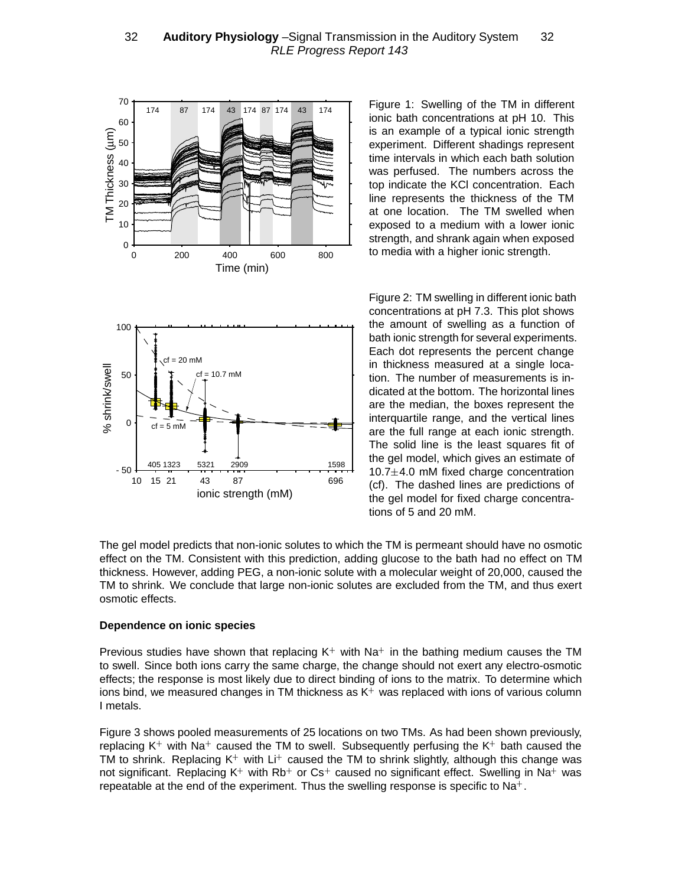

ionic bath concentrations at pH 10. This is an example of a typical ionic strength experiment. Different shadings represent time intervals in which each bath solution was perfused. The numbers across the top indicate the KCl concentration. Each line represents the thickness of the TM at one location. The TM swelled when exposed to a medium with a lower ionic strength, and shrank again when exposed to media with a higher ionic strength.



Figure 2: TM swelling in different ionic bath concentrations at pH 7.3. This plot shows the amount of swelling as a function of bath ionic strength for several experiments. Each dot represents the percent change in thickness measured at a single location. The number of measurements is indicated at the bottom. The horizontal lines are the median, the boxes represent the interquartile range, and the vertical lines are the full range at each ionic strength. The solid line is the least squares fit of the gel model, which gives an estimate of  $10.7\pm4.0$  mM fixed charge concentration (cf). The dashed lines are predictions of the gel model for fixed charge concentrations of 5 and 20 mM.

The gel model predicts that non-ionic solutes to which the TM is permeant should have no osmotic effect on the TM. Consistent with this prediction, adding glucose to the bath had no effect on TM thickness. However, adding PEG, a non-ionic solute with a molecular weight of 20,000, caused the TM to shrink. We conclude that large non-ionic solutes are excluded from the TM, and thus exert osmotic effects.

### **Dependence on ionic species**

Previous studies have shown that replacing K<sup>+</sup> with Na<sup>+</sup> in the bathing medium causes the TM to swell. Since both ions carry the same charge, the change should not exert any electro-osmotic effects; the response is most likely due to direct binding of ions to the matrix. To determine which ions bind, we measured changes in TM thickness as K $^+$  was replaced with ions of various column I metals.

Figure 3 shows pooled measurements of 25 locations on two TMs. As had been shown previously, replacing K $^+$  with Na $^+$  caused the TM to swell. Subsequently perfusing the K $^+$  bath caused the TM to shrink. Replacing K<sup>+</sup> with Li<sup>+</sup> caused the TM to shrink slightly, although this change was not significant. Replacing K $^+$  with Rb $^+$  or Cs $^+$  caused no significant effect. Swelling in Na $^+$  was repeatable at the end of the experiment. Thus the swelling response is specific to Na $^+.$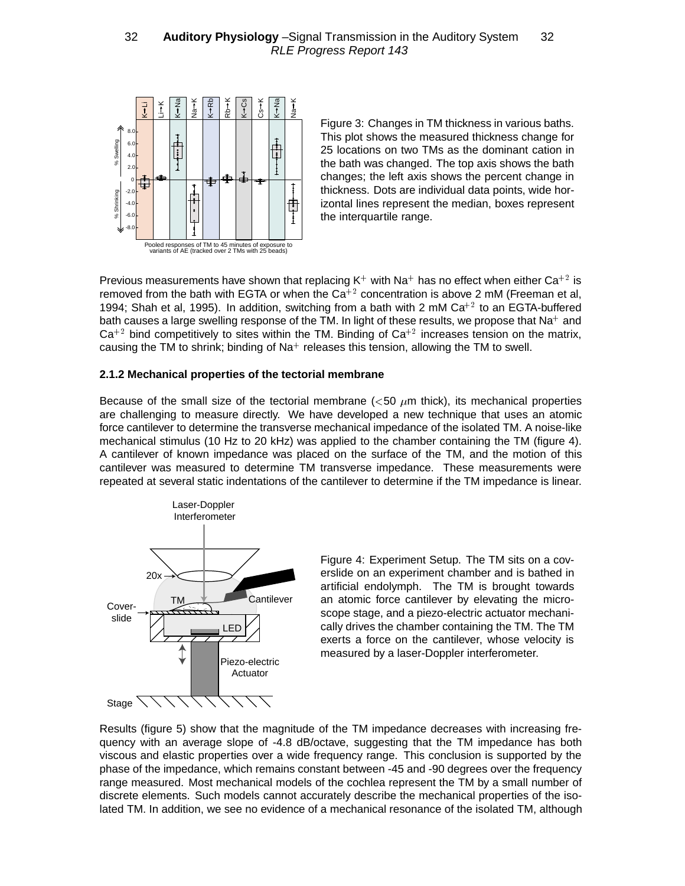

Figure 3: Changes in TM thickness in various baths. This plot shows the measured thickness change for 25 locations on two TMs as the dominant cation in the bath was changed. The top axis shows the bath changes; the left axis shows the percent change in thickness. Dots are individual data points, wide horizontal lines represent the median, boxes represent the interquartile range.

Previous measurements have shown that replacing K $^+$  with Na $^+$  has no effect when either Ca $^{+2}$  is removed from the bath with EGTA or when the  $Ca^{+2}$  concentration is above 2 mM (Freeman et al, 1994; Shah et al, 1995). In addition, switching from a bath with 2 mM  $Ca^{+2}$  to an EGTA-buffered bath causes a large swelling response of the TM. In light of these results, we propose that Na $^+$  and  $Ca^{+2}$  bind competitively to sites within the TM. Binding of  $Ca^{+2}$  increases tension on the matrix, causing the TM to shrink; binding of Na $^+$  releases this tension, allowing the TM to swell.

### **2.1.2 Mechanical properties of the tectorial membrane**

Because of the small size of the tectorial membrane ( $<$ 50  $\mu$ m thick), its mechanical properties are challenging to measure directly. We have developed a new technique that uses an atomic force cantilever to determine the transverse mechanical impedance of the isolated TM. A noise-like mechanical stimulus (10 Hz to 20 kHz) was applied to the chamber containing the TM (figure 4). A cantilever of known impedance was placed on the surface of the TM, and the motion of this cantilever was measured to determine TM transverse impedance. These measurements were repeated at several static indentations of the cantilever to determine if the TM impedance is linear.



Figure 4: Experiment Setup. The TM sits on a coverslide on an experiment chamber and is bathed in artificial endolymph. The TM is brought towards an atomic force cantilever by elevating the microscope stage, and a piezo-electric actuator mechanically drives the chamber containing the TM. The TM exerts a force on the cantilever, whose velocity is measured by a laser-Doppler interferometer.

Results (figure 5) show that the magnitude of the TM impedance decreases with increasing frequency with an average slope of -4.8 dB/octave, suggesting that the TM impedance has both viscous and elastic properties over a wide frequency range. This conclusion is supported by the phase of the impedance, which remains constant between -45 and -90 degrees over the frequency range measured. Most mechanical models of the cochlea represent the TM by a small number of discrete elements. Such models cannot accurately describe the mechanical properties of the isolated TM. In addition, we see no evidence of a mechanical resonance of the isolated TM, although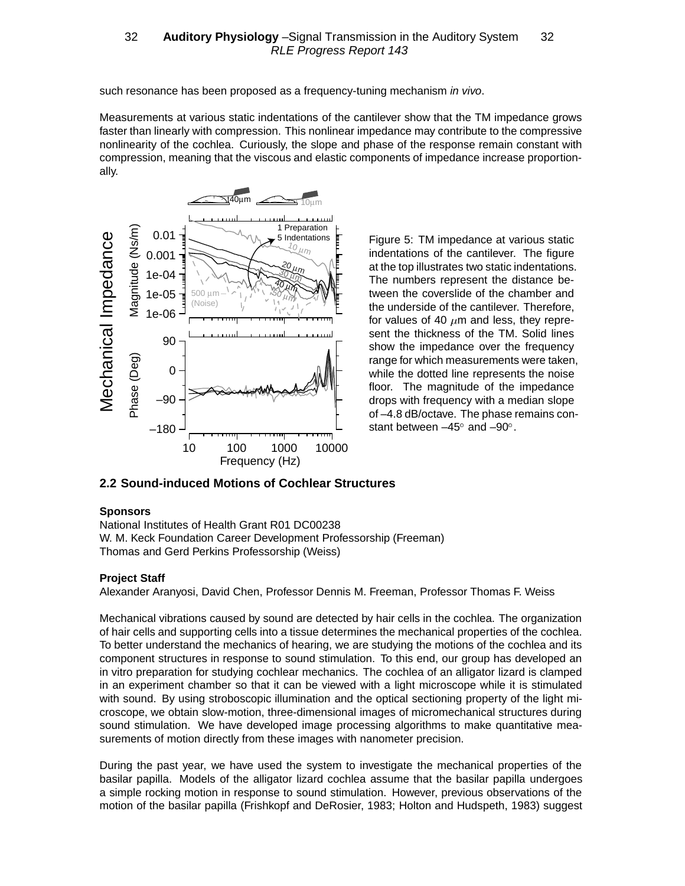such resonance has been proposed as a frequency-tuning mechanism *in vivo*.

Measurements at various static indentations of the cantilever show that the TM impedance grows faster than linearly with compression. This nonlinear impedance may contribute to the compressive nonlinearity of the cochlea. Curiously, the slope and phase of the response remain constant with compression, meaning that the viscous and elastic components of impedance increase proportionally.



Figure 5: TM impedance at various static indentations of the cantilever. The figure at the top illustrates two static indentations. The numbers represent the distance between the coverslide of the chamber and the underside of the cantilever. Therefore, for values of 40  $\mu$ m and less, they represent the thickness of the TM. Solid lines show the impedance over the frequency range for which measurements were taken, while the dotted line represents the noise floor. The magnitude of the impedance drops with frequency with a median slope of –4.8 dB/octave. The phase remains constant between  $-45^{\circ}$  and  $-90^{\circ}$ .

**2.2 Sound-induced Motions of Cochlear Structures**

### **Sponsors**

National Institutes of Health Grant R01 DC00238 W. M. Keck Foundation Career Development Professorship (Freeman) Thomas and Gerd Perkins Professorship (Weiss)

### **Project Staff**

Alexander Aranyosi, David Chen, Professor Dennis M. Freeman, Professor Thomas F. Weiss

Mechanical vibrations caused by sound are detected by hair cells in the cochlea. The organization of hair cells and supporting cells into a tissue determines the mechanical properties of the cochlea. To better understand the mechanics of hearing, we are studying the motions of the cochlea and its component structures in response to sound stimulation. To this end, our group has developed an in vitro preparation for studying cochlear mechanics. The cochlea of an alligator lizard is clamped in an experiment chamber so that it can be viewed with a light microscope while it is stimulated with sound. By using stroboscopic illumination and the optical sectioning property of the light microscope, we obtain slow-motion, three-dimensional images of micromechanical structures during sound stimulation. We have developed image processing algorithms to make quantitative measurements of motion directly from these images with nanometer precision.

During the past year, we have used the system to investigate the mechanical properties of the basilar papilla. Models of the alligator lizard cochlea assume that the basilar papilla undergoes a simple rocking motion in response to sound stimulation. However, previous observations of the motion of the basilar papilla (Frishkopf and DeRosier, 1983; Holton and Hudspeth, 1983) suggest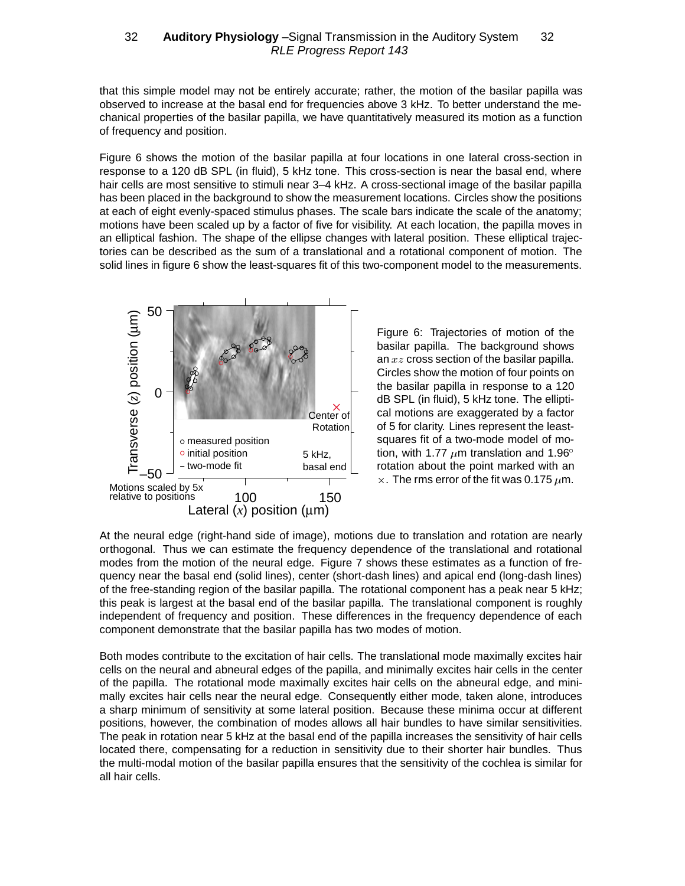### 32 **Auditory Physiology** –Signal Transmission in the Auditory System 32 RLE Progress Report 143

that this simple model may not be entirely accurate; rather, the motion of the basilar papilla was observed to increase at the basal end for frequencies above 3 kHz. To better understand the mechanical properties of the basilar papilla, we have quantitatively measured its motion as a function of frequency and position.

Figure 6 shows the motion of the basilar papilla at four locations in one lateral cross-section in response to a 120 dB SPL (in fluid), 5 kHz tone. This cross-section is near the basal end, where hair cells are most sensitive to stimuli near 3–4 kHz. A cross-sectional image of the basilar papilla has been placed in the background to show the measurement locations. Circles show the positions at each of eight evenly-spaced stimulus phases. The scale bars indicate the scale of the anatomy; motions have been scaled up by a factor of five for visibility. At each location, the papilla moves in an elliptical fashion. The shape of the ellipse changes with lateral position. These elliptical trajectories can be described as the sum of a translational and a rotational component of motion. The solid lines in figure 6 show the least-squares fit of this two-component model to the measurements.



Figure 6: Trajectories of motion of the basilar papilla. The background shows an  $xz$  cross section of the basilar papilla. Circles show the motion of four points on the basilar papilla in response to a 120 dB SPL (in fluid), 5 kHz tone. The elliptical motions are exaggerated by a factor of 5 for clarity. Lines represent the leastsquares fit of a two-mode model of motion, with 1.77  $\mu$ m translation and 1.96° rotation about the point marked with an  $\times$ . The rms error of the fit was 0.175  $\mu$ m.

At the neural edge (right-hand side of image), motions due to translation and rotation are nearly orthogonal. Thus we can estimate the frequency dependence of the translational and rotational modes from the motion of the neural edge. Figure 7 shows these estimates as a function of frequency near the basal end (solid lines), center (short-dash lines) and apical end (long-dash lines) of the free-standing region of the basilar papilla. The rotational component has a peak near 5 kHz; this peak is largest at the basal end of the basilar papilla. The translational component is roughly independent of frequency and position. These differences in the frequency dependence of each component demonstrate that the basilar papilla has two modes of motion.

Both modes contribute to the excitation of hair cells. The translational mode maximally excites hair cells on the neural and abneural edges of the papilla, and minimally excites hair cells in the center of the papilla. The rotational mode maximally excites hair cells on the abneural edge, and minimally excites hair cells near the neural edge. Consequently either mode, taken alone, introduces a sharp minimum of sensitivity at some lateral position. Because these minima occur at different positions, however, the combination of modes allows all hair bundles to have similar sensitivities. The peak in rotation near 5 kHz at the basal end of the papilla increases the sensitivity of hair cells located there, compensating for a reduction in sensitivity due to their shorter hair bundles. Thus the multi-modal motion of the basilar papilla ensures that the sensitivity of the cochlea is similar for all hair cells.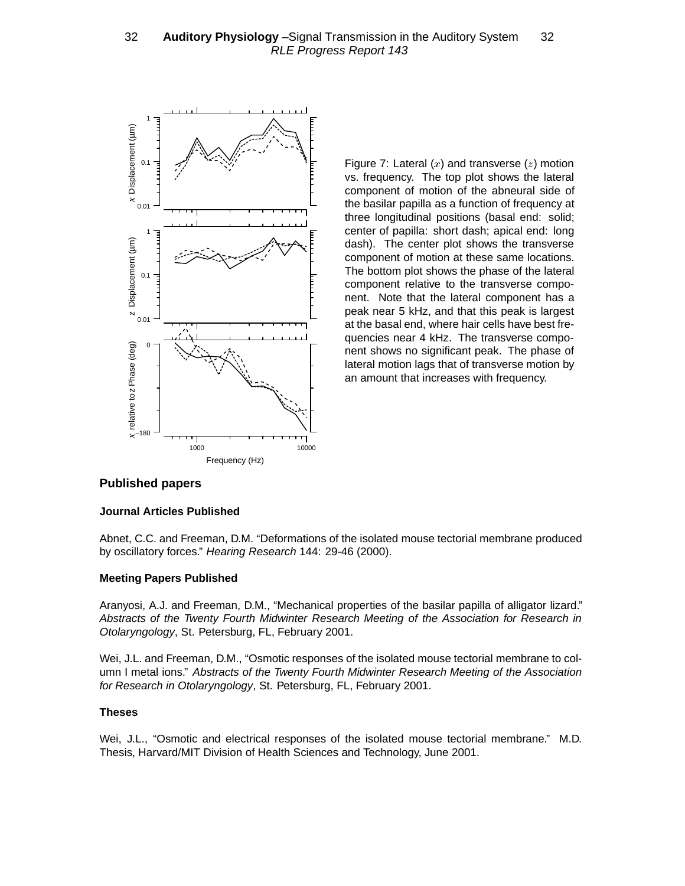

Figure 7: Lateral  $(x)$  and transverse  $(z)$  motion vs. frequency. The top plot shows the lateral component of motion of the abneural side of the basilar papilla as a function of frequency at three longitudinal positions (basal end: solid; center of papilla: short dash; apical end: long dash). The center plot shows the transverse component of motion at these same locations. The bottom plot shows the phase of the lateral component relative to the transverse component. Note that the lateral component has a peak near 5 kHz, and that this peak is largest at the basal end, where hair cells have best frequencies near 4 kHz. The transverse component shows no significant peak. The phase of lateral motion lags that of transverse motion by an amount that increases with frequency.

# **Published papers**

### **Journal Articles Published**

Abnet, C.C. and Freeman, D.M. "Deformations of the isolated mouse tectorial membrane produced by oscillatory forces." *Hearing Research* 144: 29-46 (2000).

### **Meeting Papers Published**

Aranyosi, A.J. and Freeman, D.M., "Mechanical properties of the basilar papilla of alligator lizard." *Abstracts of the Twenty Fourth Midwinter Research Meeting of the Association for Research in Otolaryngology*, St. Petersburg, FL, February 2001.

Wei, J.L. and Freeman, D.M., "Osmotic responses of the isolated mouse tectorial membrane to column I metal ions." *Abstracts of the Twenty Fourth Midwinter Research Meeting of the Association for Research in Otolaryngology*, St. Petersburg, FL, February 2001.

#### **Theses**

Wei, J.L., "Osmotic and electrical responses of the isolated mouse tectorial membrane." M.D. Thesis, Harvard/MIT Division of Health Sciences and Technology, June 2001.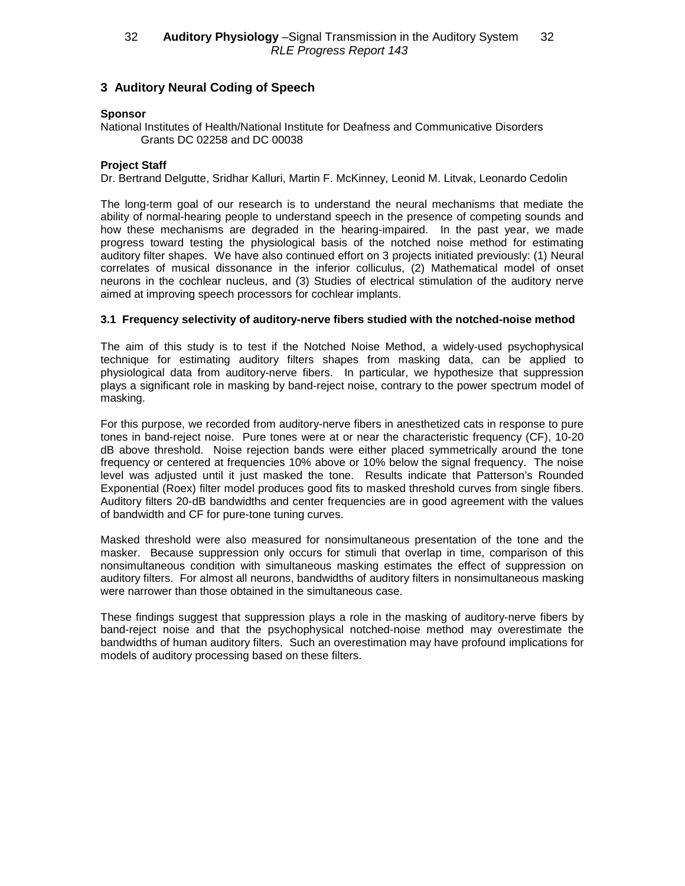# **3 Auditory Neural Coding of Speech**

### **Sponsor**

National Institutes of Health/National Institute for Deafness and Communicative Disorders Grants DC 02258 and DC 00038

### **Project Staff**

Dr. Bertrand Delgutte, Sridhar Kalluri, Martin F. McKinney, Leonid M. Litvak, Leonardo Cedolin

The long-term goal of our research is to understand the neural mechanisms that mediate the ability of normal-hearing people to understand speech in the presence of competing sounds and how these mechanisms are degraded in the hearing-impaired. In the past year, we made progress toward testing the physiological basis of the notched noise method for estimating auditory filter shapes. We have also continued effort on 3 projects initiated previously: (1) Neural correlates of musical dissonance in the inferior colliculus, (2) Mathematical model of onset neurons in the cochlear nucleus, and (3) Studies of electrical stimulation of the auditory nerve aimed at improving speech processors for cochlear implants.

### **3.1 Frequency selectivity of auditory-nerve fibers studied with the notched-noise method**

The aim of this study is to test if the Notched Noise Method, a widely-used psychophysical technique for estimating auditory filters shapes from masking data, can be applied to physiological data from auditory-nerve fibers. In particular, we hypothesize that suppression plays a significant role in masking by band-reject noise, contrary to the power spectrum model of masking.

For this purpose, we recorded from auditory-nerve fibers in anesthetized cats in response to pure tones in band-reject noise. Pure tones were at or near the characteristic frequency (CF), 10-20 dB above threshold. Noise rejection bands were either placed symmetrically around the tone frequency or centered at frequencies 10% above or 10% below the signal frequency. The noise level was adjusted until it just masked the tone. Results indicate that Patterson's Rounded Exponential (Roex) filter model produces good fits to masked threshold curves from single fibers. Auditory filters 20-dB bandwidths and center frequencies are in good agreement with the values of bandwidth and CF for pure-tone tuning curves.

Masked threshold were also measured for nonsimultaneous presentation of the tone and the masker. Because suppression only occurs for stimuli that overlap in time, comparison of this nonsimultaneous condition with simultaneous masking estimates the effect of suppression on auditory filters. For almost all neurons, bandwidths of auditory filters in nonsimultaneous masking were narrower than those obtained in the simultaneous case.

These findings suggest that suppression plays a role in the masking of auditory-nerve fibers by band-reject noise and that the psychophysical notched-noise method may overestimate the bandwidths of human auditory filters. Such an overestimation may have profound implications for models of auditory processing based on these filters.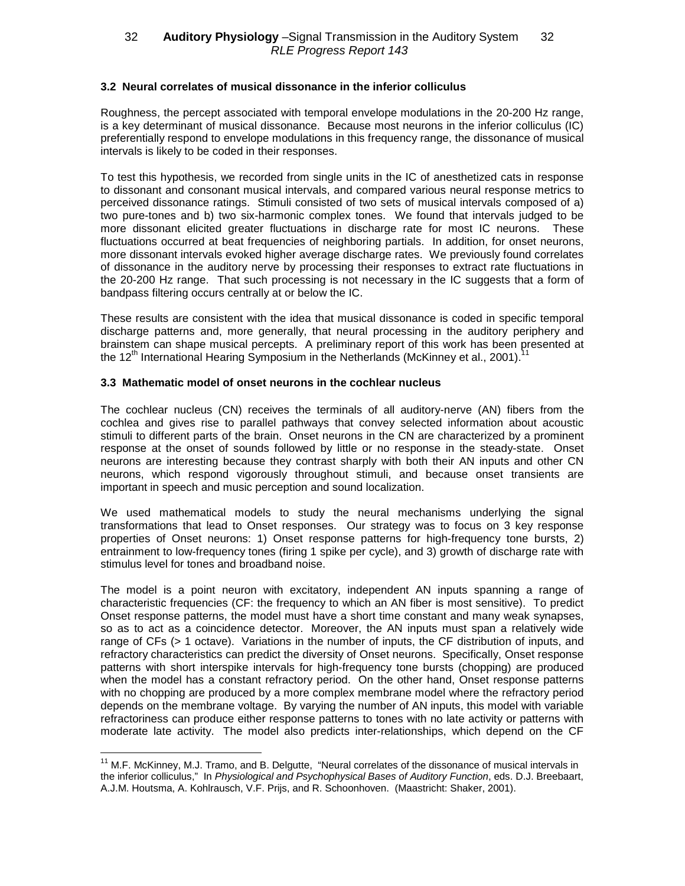## **3.2 Neural correlates of musical dissonance in the inferior colliculus**

Roughness, the percept associated with temporal envelope modulations in the 20-200 Hz range, is a key determinant of musical dissonance. Because most neurons in the inferior colliculus (IC) preferentially respond to envelope modulations in this frequency range, the dissonance of musical intervals is likely to be coded in their responses.

To test this hypothesis, we recorded from single units in the IC of anesthetized cats in response to dissonant and consonant musical intervals, and compared various neural response metrics to perceived dissonance ratings. Stimuli consisted of two sets of musical intervals composed of a) two pure-tones and b) two six-harmonic complex tones. We found that intervals judged to be more dissonant elicited greater fluctuations in discharge rate for most IC neurons. These fluctuations occurred at beat frequencies of neighboring partials. In addition, for onset neurons, more dissonant intervals evoked higher average discharge rates. We previously found correlates of dissonance in the auditory nerve by processing their responses to extract rate fluctuations in the 20-200 Hz range. That such processing is not necessary in the IC suggests that a form of bandpass filtering occurs centrally at or below the IC.

These results are consistent with the idea that musical dissonance is coded in specific temporal discharge patterns and, more generally, that neural processing in the auditory periphery and brainstem can shape musical percepts. A preliminary report of this work has been presented at the 12<sup>th</sup> International Hearing Symposium in the Netherlands (McKinney et al., 2001).<sup>11</sup>

### **3.3 Mathematic model of onset neurons in the cochlear nucleus**

 $\overline{a}$ 

The cochlear nucleus (CN) receives the terminals of all auditory-nerve (AN) fibers from the cochlea and gives rise to parallel pathways that convey selected information about acoustic stimuli to different parts of the brain. Onset neurons in the CN are characterized by a prominent response at the onset of sounds followed by little or no response in the steady-state. Onset neurons are interesting because they contrast sharply with both their AN inputs and other CN neurons, which respond vigorously throughout stimuli, and because onset transients are important in speech and music perception and sound localization.

We used mathematical models to study the neural mechanisms underlying the signal transformations that lead to Onset responses. Our strategy was to focus on 3 key response properties of Onset neurons: 1) Onset response patterns for high-frequency tone bursts, 2) entrainment to low-frequency tones (firing 1 spike per cycle), and 3) growth of discharge rate with stimulus level for tones and broadband noise.

The model is a point neuron with excitatory, independent AN inputs spanning a range of characteristic frequencies (CF: the frequency to which an AN fiber is most sensitive). To predict Onset response patterns, the model must have a short time constant and many weak synapses, so as to act as a coincidence detector. Moreover, the AN inputs must span a relatively wide range of CFs (> 1 octave). Variations in the number of inputs, the CF distribution of inputs, and refractory characteristics can predict the diversity of Onset neurons. Specifically, Onset response patterns with short interspike intervals for high-frequency tone bursts (chopping) are produced when the model has a constant refractory period. On the other hand, Onset response patterns with no chopping are produced by a more complex membrane model where the refractory period depends on the membrane voltage. By varying the number of AN inputs, this model with variable refractoriness can produce either response patterns to tones with no late activity or patterns with moderate late activity. The model also predicts inter-relationships, which depend on the CF

<sup>&</sup>lt;sup>11</sup> M.F. McKinney, M.J. Tramo, and B. Delgutte, "Neural correlates of the dissonance of musical intervals in the inferior colliculus," In *Physiological and Psychophysical Bases of Auditory Function*, eds. D.J. Breebaart, A.J.M. Houtsma, A. Kohlrausch, V.F. Prijs, and R. Schoonhoven. (Maastricht: Shaker, 2001).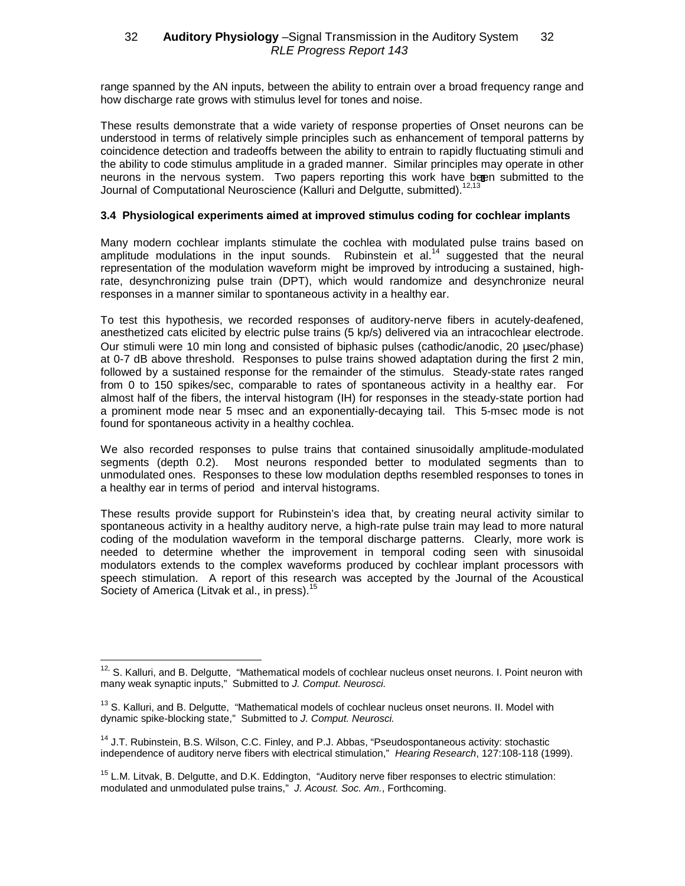range spanned by the AN inputs, between the ability to entrain over a broad frequency range and how discharge rate grows with stimulus level for tones and noise.

These results demonstrate that a wide variety of response properties of Onset neurons can be understood in terms of relatively simple principles such as enhancement of temporal patterns by coincidence detection and tradeoffs between the ability to entrain to rapidly fluctuating stimuli and the ability to code stimulus amplitude in a graded manner. Similar principles may operate in other neurons in the nervous system. Two papers reporting this work have been submitted to the Journal of Computational Neuroscience (Kalluri and Delgutte, submitted).<sup>1</sup>

## **3.4 Physiological experiments aimed at improved stimulus coding for cochlear implants**

Many modern cochlear implants stimulate the cochlea with modulated pulse trains based on amplitude modulations in the input sounds. Rubinstein et al.<sup>14</sup> suggested that the neural representation of the modulation waveform might be improved by introducing a sustained, highrate, desynchronizing pulse train (DPT), which would randomize and desynchronize neural responses in a manner similar to spontaneous activity in a healthy ear.

To test this hypothesis, we recorded responses of auditory-nerve fibers in acutely-deafened, anesthetized cats elicited by electric pulse trains (5 kp/s) delivered via an intracochlear electrode. Our stimuli were 10 min long and consisted of biphasic pulses (cathodic/anodic, 20 µsec/phase) at 0-7 dB above threshold. Responses to pulse trains showed adaptation during the first 2 min, followed by a sustained response for the remainder of the stimulus. Steady-state rates ranged from 0 to 150 spikes/sec, comparable to rates of spontaneous activity in a healthy ear. For almost half of the fibers, the interval histogram (IH) for responses in the steady-state portion had a prominent mode near 5 msec and an exponentially-decaying tail. This 5-msec mode is not found for spontaneous activity in a healthy cochlea.

We also recorded responses to pulse trains that contained sinusoidally amplitude-modulated segments (depth 0.2). Most neurons responded better to modulated segments than to unmodulated ones. Responses to these low modulation depths resembled responses to tones in a healthy ear in terms of period and interval histograms.

These results provide support for Rubinstein's idea that, by creating neural activity similar to spontaneous activity in a healthy auditory nerve, a high-rate pulse train may lead to more natural coding of the modulation waveform in the temporal discharge patterns. Clearly, more work is needed to determine whether the improvement in temporal coding seen with sinusoidal modulators extends to the complex waveforms produced by cochlear implant processors with speech stimulation. A report of this research was accepted by the Journal of the Acoustical Society of America (Litvak et al., in press).<sup>15</sup>

 $\overline{a}$ 

<sup>&</sup>lt;sup>12,</sup> S. Kalluri, and B. Delgutte, "Mathematical models of cochlear nucleus onset neurons. I. Point neuron with many weak synaptic inputs," Submitted to *J. Comput. Neurosci.*

 $13$  S. Kalluri, and B. Delgutte, "Mathematical models of cochlear nucleus onset neurons. II. Model with dynamic spike-blocking state," Submitted to *J. Comput. Neurosci.*

<sup>&</sup>lt;sup>14</sup> J.T. Rubinstein, B.S. Wilson, C.C. Finley, and P.J. Abbas, "Pseudospontaneous activity: stochastic independence of auditory nerve fibers with electrical stimulation," *Hearing Research*, 127:108-118 (1999).

<sup>&</sup>lt;sup>15</sup> L.M. Litvak, B. Delgutte, and D.K. Eddington, "Auditory nerve fiber responses to electric stimulation: modulated and unmodulated pulse trains," *J. Acoust. Soc. Am.*, Forthcoming.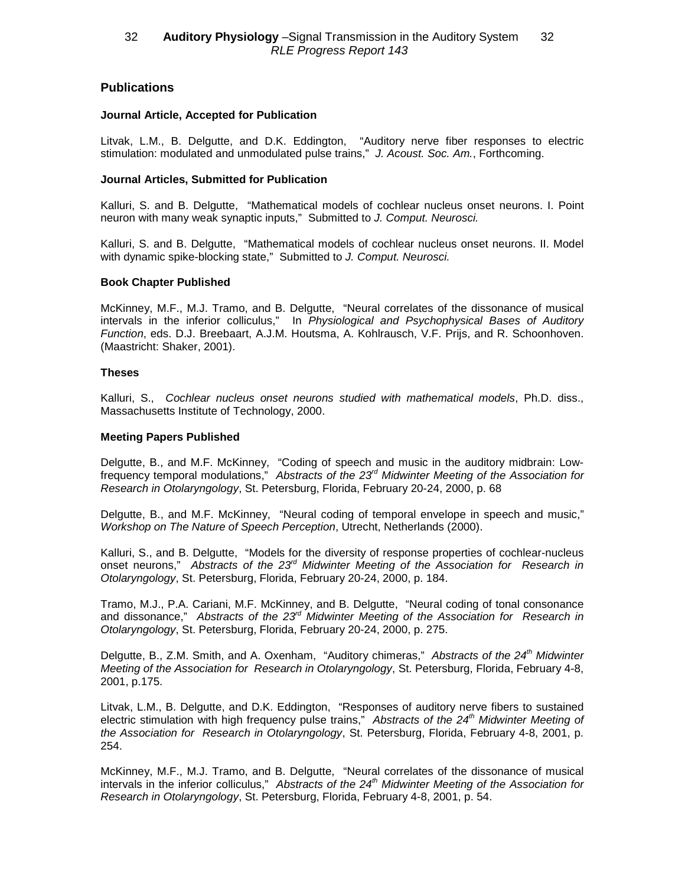# **Publications**

### **Journal Article, Accepted for Publication**

Litvak, L.M., B. Delgutte, and D.K. Eddington, "Auditory nerve fiber responses to electric stimulation: modulated and unmodulated pulse trains," *J. Acoust. Soc. Am.*, Forthcoming.

### **Journal Articles, Submitted for Publication**

Kalluri, S. and B. Delgutte, "Mathematical models of cochlear nucleus onset neurons. I. Point neuron with many weak synaptic inputs," Submitted to *J. Comput. Neurosci.*

Kalluri, S. and B. Delgutte, "Mathematical models of cochlear nucleus onset neurons. II. Model with dynamic spike-blocking state," Submitted to *J. Comput. Neurosci.*

### **Book Chapter Published**

McKinney, M.F., M.J. Tramo, and B. Delgutte, "Neural correlates of the dissonance of musical intervals in the inferior colliculus," In *Physiological and Psychophysical Bases of Auditory Function*, eds. D.J. Breebaart, A.J.M. Houtsma, A. Kohlrausch, V.F. Prijs, and R. Schoonhoven. (Maastricht: Shaker, 2001).

### **Theses**

Kalluri, S., *Cochlear nucleus onset neurons studied with mathematical models*, Ph.D. diss., Massachusetts Institute of Technology, 2000.

### **Meeting Papers Published**

Delgutte, B., and M.F. McKinney, "Coding of speech and music in the auditory midbrain: Lowfrequency temporal modulations," *Abstracts of the 23rd Midwinter Meeting of the Association for Research in Otolaryngology*, St. Petersburg, Florida, February 20-24, 2000, p. 68

Delgutte, B., and M.F. McKinney, "Neural coding of temporal envelope in speech and music," *Workshop on The Nature of Speech Perception*, Utrecht, Netherlands (2000).

Kalluri, S., and B. Delgutte, "Models for the diversity of response properties of cochlear-nucleus onset neurons," *Abstracts of the 23rd Midwinter Meeting of the Association for Research in Otolaryngology*, St. Petersburg, Florida, February 20-24, 2000, p. 184.

Tramo, M.J., P.A. Cariani, M.F. McKinney, and B. Delgutte, "Neural coding of tonal consonance and dissonance," *Abstracts of the 23rd Midwinter Meeting of the Association for Research in Otolaryngology*, St. Petersburg, Florida, February 20-24, 2000, p. 275.

Delgutte, B., Z.M. Smith, and A. Oxenham, "Auditory chimeras," *Abstracts of the 24<sup>th</sup> Midwinter Meeting of the Association for Research in Otolaryngology*, St. Petersburg, Florida, February 4-8, 2001, p.175.

Litvak, L.M., B. Delgutte, and D.K. Eddington, "Responses of auditory nerve fibers to sustained electric stimulation with high frequency pulse trains," Abstracts of the 24<sup>th</sup> Midwinter Meeting of *the Association for Research in Otolaryngology*, St. Petersburg, Florida, February 4-8, 2001, p. 254.

McKinney, M.F., M.J. Tramo, and B. Delgutte, "Neural correlates of the dissonance of musical intervals in the inferior colliculus," *Abstracts of the 24th Midwinter Meeting of the Association for Research in Otolaryngology*, St. Petersburg, Florida, February 4-8, 2001, p. 54.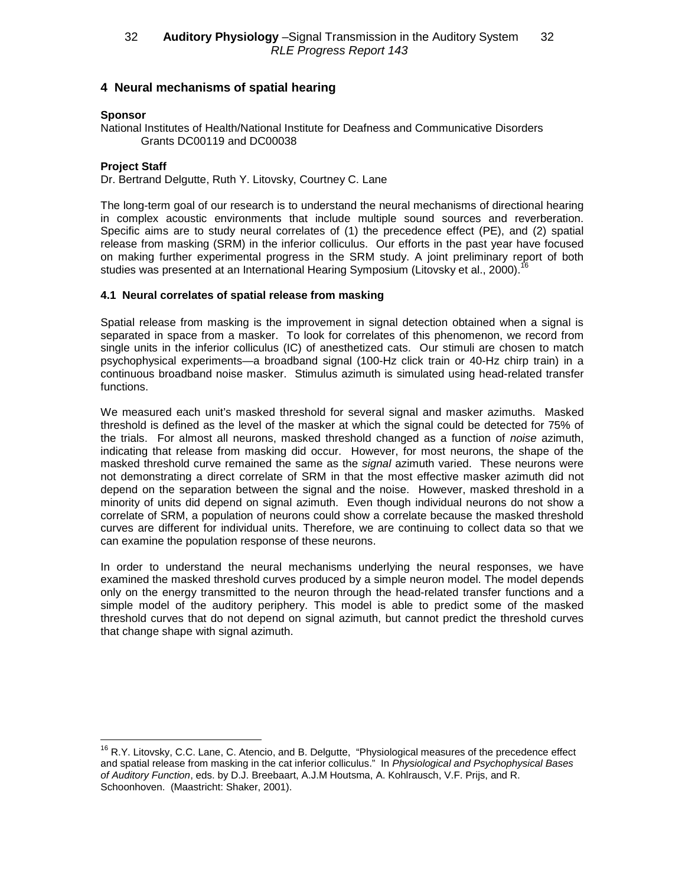# **4 Neural mechanisms of spatial hearing**

#### **Sponsor**

 $\overline{a}$ 

National Institutes of Health/National Institute for Deafness and Communicative Disorders Grants DC00119 and DC00038

#### **Project Staff**

Dr. Bertrand Delgutte, Ruth Y. Litovsky, Courtney C. Lane

The long-term goal of our research is to understand the neural mechanisms of directional hearing in complex acoustic environments that include multiple sound sources and reverberation. Specific aims are to study neural correlates of (1) the precedence effect (PE), and (2) spatial release from masking (SRM) in the inferior colliculus. Our efforts in the past year have focused on making further experimental progress in the SRM study. A joint preliminary report of both studies was presented at an International Hearing Symposium (Litovsky et al., 2000).<sup>1</sup>

#### **4.1 Neural correlates of spatial release from masking**

Spatial release from masking is the improvement in signal detection obtained when a signal is separated in space from a masker. To look for correlates of this phenomenon, we record from single units in the inferior colliculus (IC) of anesthetized cats. Our stimuli are chosen to match psychophysical experiments—a broadband signal (100-Hz click train or 40-Hz chirp train) in a continuous broadband noise masker. Stimulus azimuth is simulated using head-related transfer functions.

We measured each unit's masked threshold for several signal and masker azimuths. Masked threshold is defined as the level of the masker at which the signal could be detected for 75% of the trials. For almost all neurons, masked threshold changed as a function of *noise* azimuth, indicating that release from masking did occur. However, for most neurons, the shape of the masked threshold curve remained the same as the *signal* azimuth varied. These neurons were not demonstrating a direct correlate of SRM in that the most effective masker azimuth did not depend on the separation between the signal and the noise. However, masked threshold in a minority of units did depend on signal azimuth. Even though individual neurons do not show a correlate of SRM, a population of neurons could show a correlate because the masked threshold curves are different for individual units. Therefore, we are continuing to collect data so that we can examine the population response of these neurons.

In order to understand the neural mechanisms underlying the neural responses, we have examined the masked threshold curves produced by a simple neuron model. The model depends only on the energy transmitted to the neuron through the head-related transfer functions and a simple model of the auditory periphery. This model is able to predict some of the masked threshold curves that do not depend on signal azimuth, but cannot predict the threshold curves that change shape with signal azimuth.

<sup>&</sup>lt;sup>16</sup> R.Y. Litovsky, C.C. Lane, C. Atencio, and B. Delgutte, "Physiological measures of the precedence effect and spatial release from masking in the cat inferior colliculus." In *Physiological and Psychophysical Bases of Auditory Function*, eds. by D.J. Breebaart, A.J.M Houtsma, A. Kohlrausch, V.F. Prijs, and R. Schoonhoven. (Maastricht: Shaker, 2001).